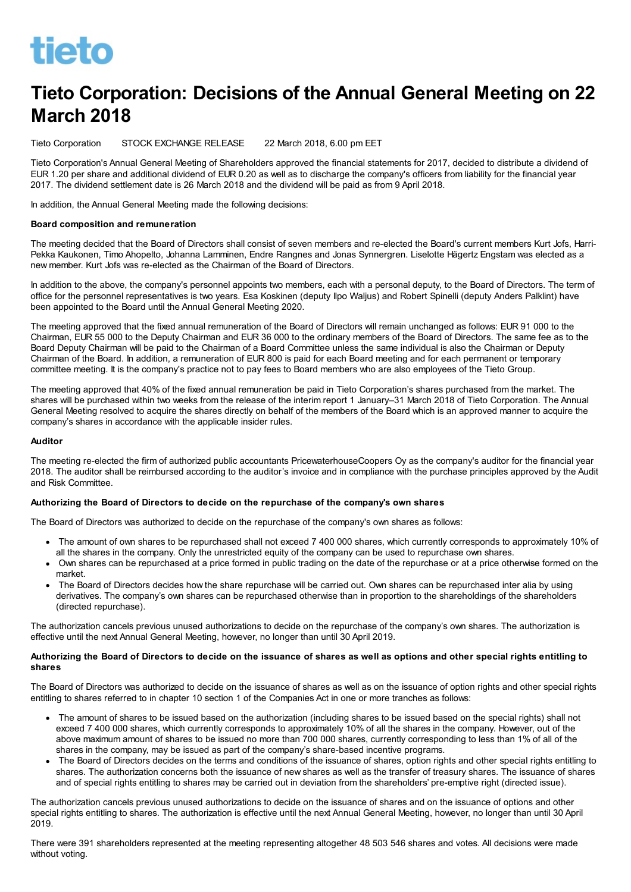

# Tieto Corporation: Decisions of the Annual General Meeting on 22 March 2018

Tieto Corporation STOCK EXCHANGE RELEASE 22 March 2018, 6.00 pm EET

Tieto Corporation's Annual General Meeting of Shareholders approved the financial statements for 2017, decided to distribute a dividend of EUR 1.20 per share and additional dividend of EUR 0.20 as well as to discharge the company's officers from liability for the financial year 2017. The dividend settlement date is 26 March 2018 and the dividend will be paid as from 9 April 2018.

In addition, the Annual General Meeting made the following decisions:

#### Board composition and remuneration

The meeting decided that the Board of Directors shall consist of seven members and re-elected the Board's current members Kurt Jofs, Harri-Pekka Kaukonen, Timo Ahopelto, Johanna Lamminen, Endre Rangnes and Jonas Synnergren. Liselotte Hägertz Engstam was elected as a new member. Kurt Jofs was re-elected as the Chairman of the Board of Directors.

In addition to the above, the company's personnel appoints two members, each with a personal deputy, to the Board of Directors. The term of office for the personnel representatives is two years. Esa Koskinen (deputy Ilpo Waljus) and Robert Spinelli (deputy Anders Palklint) have been appointed to the Board until the Annual General Meeting 2020.

The meeting approved that the fixed annual remuneration of the Board of Directors will remain unchanged as follows: EUR 91 000 to the Chairman, EUR 55 000 to the Deputy Chairman and EUR 36 000 to the ordinary members of the Board of Directors. The same fee as to the Board Deputy Chairman will be paid to the Chairman of a Board Committee unless the same individual is also the Chairman or Deputy Chairman of the Board. In addition, a remuneration of EUR 800 is paid for each Board meeting and for each permanent or temporary committee meeting. It is the company's practice not to pay fees to Board members who are also employees of the Tieto Group.

The meeting approved that 40% of the fixed annual remuneration be paid in Tieto Corporation's shares purchased from the market. The shares will be purchased within two weeks from the release of the interim report 1 January–31 March 2018 of Tieto Corporation. The Annual General Meeting resolved to acquire the shares directly on behalf of the members of the Board which is an approved manner to acquire the company's shares in accordance with the applicable insider rules.

#### Auditor

The meeting re-elected the firm of authorized public accountants PricewaterhouseCoopers Oy as the company's auditor for the financial year 2018. The auditor shall be reimbursed according to the auditor's invoice and in compliance with the purchase principles approved by the Audit and Risk Committee.

#### Authorizing the Board of Directors to decide on the repurchase of the company's own shares

The Board of Directors was authorized to decide on the repurchase of the company's own shares as follows:

- The amount of own shares to be repurchased shall not exceed 7 400 000 shares, which currently corresponds to approximately 10% of all the shares in the company. Only the unrestricted equity of the company can be used to repurchase own shares.
- Own shares can be repurchased at a price formed in public trading on the date of the repurchase or at a price otherwise formed on the market.
- The Board of Directors decides how the share repurchase will be carried out. Own shares can be repurchased inter alia by using derivatives. The company's own shares can be repurchased otherwise than in proportion to the shareholdings of the shareholders (directed repurchase).

The authorization cancels previous unused authorizations to decide on the repurchase of the company's own shares. The authorization is effective until the next Annual General Meeting, however, no longer than until 30 April 2019.

## Authorizing the Board of Directors to decide on the issuance of shares as well as options and other special rights entitling to shares

The Board of Directors was authorized to decide on the issuance of shares as well as on the issuance of option rights and other special rights entitling to shares referred to in chapter 10 section 1 of the Companies Act in one or more tranches as follows:

- The amount of shares to be issued based on the authorization (including shares to be issued based on the special rights) shall not exceed 7 400 000 shares, which currently corresponds to approximately 10% of all the shares in the company. However, out of the above maximum amount of shares to be issued no more than 700 000 shares, currently corresponding to less than 1% of all of the shares in the company, may be issued as part of the company's share-based incentive programs.
- The Board of Directors decides on the terms and conditions of the issuance of shares, option rights and other special rights entitling to shares. The authorization concerns both the issuance of new shares as well as the transfer of treasury shares. The issuance of shares and of special rights entitling to shares may be carried out in deviation from the shareholders' pre-emptive right (directed issue).

The authorization cancels previous unused authorizations to decide on the issuance of shares and on the issuance of options and other special rights entitling to shares. The authorization is effective until the next Annual General Meeting, however, no longer than until 30 April 2019.

There were 391 shareholders represented at the meeting representing altogether 48 503 546 shares and votes. All decisions were made without voting.